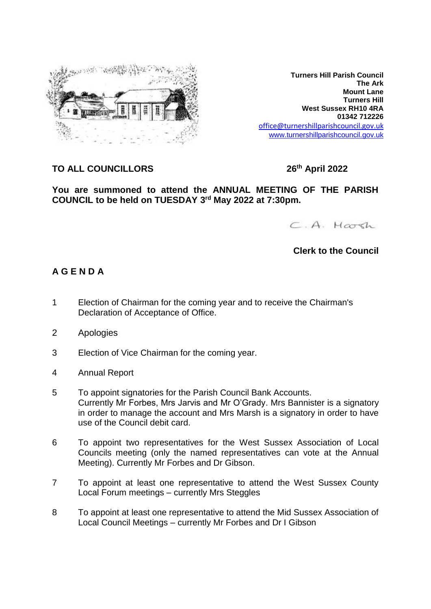

**Turners Hill Parish Council The Ark Mount Lane Turners Hill West Sussex RH10 4RA 01342 712226** office@turnershillparishcouncil.gov.uk [www.turnershillparishcouncil.gov.uk](http://www.turnershillparishcouncil.gov.uk/)

## **TO ALL COUNCILLORS 26**

**th April 2022**

**You are summoned to attend the ANNUAL MEETING OF THE PARISH COUNCIL to be held on TUESDAY 3 rd May 2022 at 7:30pm.**

 $C.A.$  Marsh

### **Clerk to the Council**

### **A G E N D A**

- 1 Election of Chairman for the coming year and to receive the Chairman's Declaration of Acceptance of Office.
- 2 Apologies
- 3 Election of Vice Chairman for the coming year.
- 4 Annual Report
- 5 To appoint signatories for the Parish Council Bank Accounts. Currently Mr Forbes, Mrs Jarvis and Mr O'Grady. Mrs Bannister is a signatory in order to manage the account and Mrs Marsh is a signatory in order to have use of the Council debit card.
- 6 To appoint two representatives for the West Sussex Association of Local Councils meeting (only the named representatives can vote at the Annual Meeting). Currently Mr Forbes and Dr Gibson.
- 7 To appoint at least one representative to attend the West Sussex County Local Forum meetings – currently Mrs Steggles
- 8 To appoint at least one representative to attend the Mid Sussex Association of Local Council Meetings – currently Mr Forbes and Dr I Gibson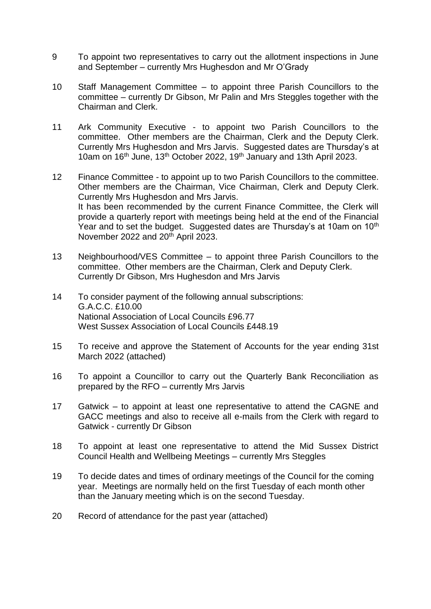- 9 To appoint two representatives to carry out the allotment inspections in June and September – currently Mrs Hughesdon and Mr O'Grady
- 10 Staff Management Committee to appoint three Parish Councillors to the committee – currently Dr Gibson, Mr Palin and Mrs Steggles together with the Chairman and Clerk.
- 11 Ark Community Executive to appoint two Parish Councillors to the committee. Other members are the Chairman, Clerk and the Deputy Clerk. Currently Mrs Hughesdon and Mrs Jarvis. Suggested dates are Thursday's at 10am on 16<sup>th</sup> June, 13<sup>th</sup> October 2022, 19<sup>th</sup> January and 13th April 2023.
- 12 Finance Committee to appoint up to two Parish Councillors to the committee. Other members are the Chairman, Vice Chairman, Clerk and Deputy Clerk. Currently Mrs Hughesdon and Mrs Jarvis. It has been recommended by the current Finance Committee, the Clerk will provide a quarterly report with meetings being held at the end of the Financial Year and to set the budget. Suggested dates are Thursday's at 10am on 10<sup>th</sup> November 2022 and 20<sup>th</sup> April 2023.
- 13 Neighbourhood/VES Committee to appoint three Parish Councillors to the committee. Other members are the Chairman, Clerk and Deputy Clerk. Currently Dr Gibson, Mrs Hughesdon and Mrs Jarvis
- 14 To consider payment of the following annual subscriptions: G.A.C.C. £10.00 National Association of Local Councils £96.77 West Sussex Association of Local Councils £448.19
- 15 To receive and approve the Statement of Accounts for the year ending 31st March 2022 (attached)
- 16 To appoint a Councillor to carry out the Quarterly Bank Reconciliation as prepared by the RFO – currently Mrs Jarvis
- 17 Gatwick to appoint at least one representative to attend the CAGNE and GACC meetings and also to receive all e-mails from the Clerk with regard to Gatwick - currently Dr Gibson
- 18 To appoint at least one representative to attend the Mid Sussex District Council Health and Wellbeing Meetings – currently Mrs Steggles
- 19 To decide dates and times of ordinary meetings of the Council for the coming year. Meetings are normally held on the first Tuesday of each month other than the January meeting which is on the second Tuesday.
- 20 Record of attendance for the past year (attached)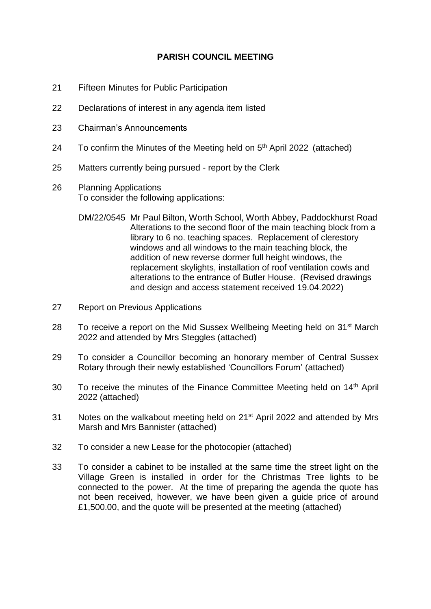### **PARISH COUNCIL MEETING**

- 21 Fifteen Minutes for Public Participation
- 22 Declarations of interest in any agenda item listed
- 23 Chairman's Announcements
- 24 To confirm the Minutes of the Meeting held on 5<sup>th</sup> April 2022 (attached)
- 25 Matters currently being pursued report by the Clerk
- 26 Planning Applications To consider the following applications:
	- DM/22/0545 Mr Paul Bilton, Worth School, Worth Abbey, Paddockhurst Road Alterations to the second floor of the main teaching block from a library to 6 no. teaching spaces. Replacement of clerestory windows and all windows to the main teaching block, the addition of new reverse dormer full height windows, the replacement skylights, installation of roof ventilation cowls and alterations to the entrance of Butler House. (Revised drawings and design and access statement received 19.04.2022)
- 27 Report on Previous Applications
- 28 To receive a report on the Mid Sussex Wellbeing Meeting held on 31<sup>st</sup> March 2022 and attended by Mrs Steggles (attached)
- 29 To consider a Councillor becoming an honorary member of Central Sussex Rotary through their newly established 'Councillors Forum' (attached)
- 30 To receive the minutes of the Finance Committee Meeting held on 14<sup>th</sup> April 2022 (attached)
- 31 Notes on the walkabout meeting held on 21<sup>st</sup> April 2022 and attended by Mrs Marsh and Mrs Bannister (attached)
- 32 To consider a new Lease for the photocopier (attached)
- 33 To consider a cabinet to be installed at the same time the street light on the Village Green is installed in order for the Christmas Tree lights to be connected to the power. At the time of preparing the agenda the quote has not been received, however, we have been given a guide price of around £1,500.00, and the quote will be presented at the meeting (attached)